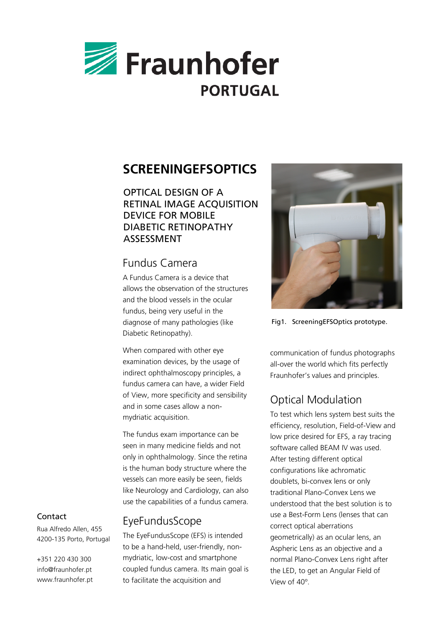

# **SCREENINGEFSOPTICS**

OPTICAL DESIGN OF A RETINAL IMAGE ACQUISITION DEVICE FOR MOBILE DIABETIC RETINOPATHY ASSESSMENT

### Fundus Camera

A Fundus Camera is a device that allows the observation of the structures and the blood vessels in the ocular fundus, being very useful in the diagnose of many pathologies (like Diabetic Retinopathy).

When compared with other eye examination devices, by the usage of indirect ophthalmoscopy principles, a fundus camera can have, a wider Field of View, more specificity and sensibility and in some cases allow a nonmydriatic acquisition.

The fundus exam importance can be seen in many medicine fields and not only in ophthalmology. Since the retina is the human body structure where the vessels can more easily be seen, fields like Neurology and Cardiology, can also use the capabilities of a fundus camera.

## EyeFundusScope

The EyeFundusScope (EFS) is intended to be a hand-held, user-friendly, nonmydriatic, low-cost and smartphone coupled fundus camera. Its main goal is to facilitate the acquisition and



Fig1. ScreeningEFSOptics prototype.

communication of fundus photographs all-over the world which fits perfectly Fraunhofer's values and principles.

# Optical Modulation

To test which lens system best suits the efficiency, resolution, Field-of-View and low price desired for EFS, a ray tracing software called BEAM IV was used. After testing different optical configurations like achromatic doublets, bi-convex lens or only traditional Plano-Convex Lens we understood that the best solution is to use a Best-Form Lens (lenses that can correct optical aberrations geometrically) as an ocular lens, an Aspheric Lens as an objective and a normal Plano-Convex Lens right after the LED, to get an Angular Field of View of 40º.

#### Contact

Rua Alfredo Allen, 455 4200-135 Porto, Portugal

+351 220 430 300 info@fraunhofer.pt www.fraunhofer.pt